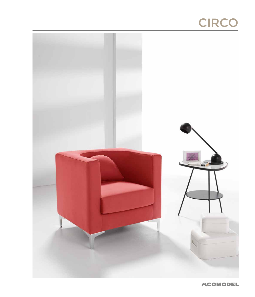## CIRCO



**ACOMODEL**